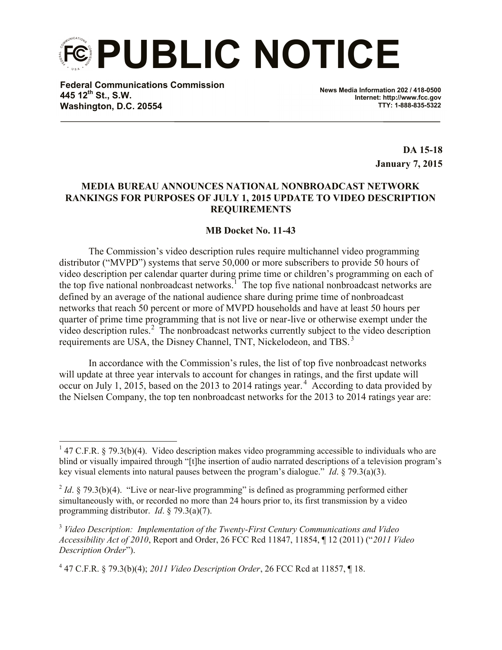**PUBLIC NOTICE**

**Federal Communications Commission 445 12th St., S.W. Washington, D.C. 20554**

l

**News Media Information 202 / 418-0500 Internet: http://www.fcc.gov TTY: 1-888-835-5322**

> **DA 15-18 January 7, 2015**

## **MEDIA BUREAU ANNOUNCES NATIONAL NONBROADCAST NETWORK RANKINGS FOR PURPOSES OF JULY 1, 2015 UPDATE TO VIDEO DESCRIPTION REQUIREMENTS**

## **MB Docket No. 11-43**

The Commission's video description rules require multichannel video programming distributor ("MVPD") systems that serve 50,000 or more subscribers to provide 50 hours of video description per calendar quarter during prime time or children's programming on each of the top five national nonbroadcast networks.<sup>1</sup> The top five national nonbroadcast networks are defined by an average of the national audience share during prime time of nonbroadcast networks that reach 50 percent or more of MVPD households and have at least 50 hours per quarter of prime time programming that is not live or near-live or otherwise exempt under the video description rules.<sup>2</sup> The nonbroadcast networks currently subject to the video description requirements are USA, the Disney Channel, TNT, Nickelodeon, and TBS. <sup>3</sup>

In accordance with the Commission's rules, the list of top five nonbroadcast networks will update at three year intervals to account for changes in ratings, and the first update will occur on July 1, 2015, based on the 2013 to 2014 ratings year.<sup>4</sup> According to data provided by the Nielsen Company, the top ten nonbroadcast networks for the 2013 to 2014 ratings year are:

<sup>&</sup>lt;sup>1</sup> 47 C.F.R. § 79.3(b)(4). Video description makes video programming accessible to individuals who are blind or visually impaired through "[t]he insertion of audio narrated descriptions of a television program's key visual elements into natural pauses between the program's dialogue." *Id*. § 79.3(a)(3).

 $^{2}$  *Id*. § 79.3(b)(4). "Live or near-live programming" is defined as programming performed either simultaneously with, or recorded no more than 24 hours prior to, its first transmission by a video programming distributor. *Id*. § 79.3(a)(7).

<sup>3</sup> *Video Description: Implementation of the Twenty-First Century Communications and Video Accessibility Act of 2010*, Report and Order, 26 FCC Rcd 11847, 11854, ¶ 12 (2011) ("*2011 Video Description Order*").

<sup>4</sup> 47 C.F.R. § 79.3(b)(4); *2011 Video Description Order*, 26 FCC Rcd at 11857, ¶ 18.